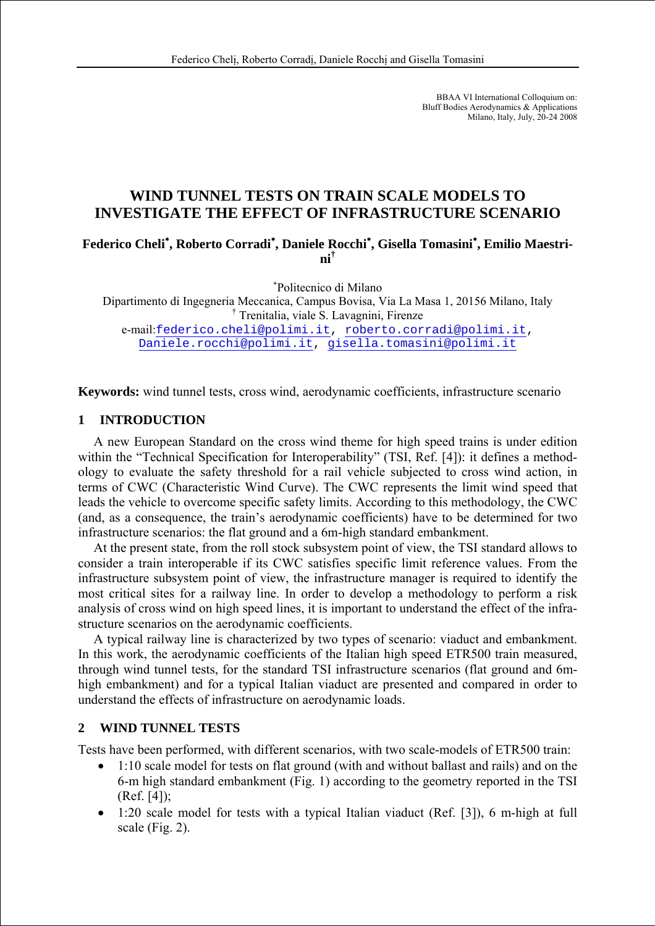BBAA VI International Colloquium on: Bluff Bodies Aerodynamics & Applications Milano, Italy, July, 20-24 2008

# **WIND TUNNEL TESTS ON TRAIN SCALE MODELS TO INVESTIGATE THE EFFECT OF INFRASTRUCTURE SCENARIO**

**Federico Cheli**<sup>∗</sup> **, Roberto Corradi**<sup>∗</sup> **, Daniele Rocchi**<sup>∗</sup> **, Gisella Tomasini**<sup>∗</sup> **, Emilio Maestrini†**

∗ Politecnico di Milano

Dipartimento di Ingegneria Meccanica, Campus Bovisa, Via La Masa 1, 20156 Milano, Italy † Trenitalia, viale S. Lavagnini, Firenze

e-mail:federico.cheli@polimi.it, roberto.corradi@polimi.it, Daniele.rocchi@polimi.it, gisella.tomasini@polimi.it

**Keywords:** wind tunnel tests, cross wind, aerodynamic coefficients, infrastructure scenario

#### **1 INTRODUCTION**

A new European Standard on the cross wind theme for high speed trains is under edition within the "Technical Specification for Interoperability" (TSI, Ref. [4]): it defines a methodology to evaluate the safety threshold for a rail vehicle subjected to cross wind action, in terms of CWC (Characteristic Wind Curve). The CWC represents the limit wind speed that leads the vehicle to overcome specific safety limits. According to this methodology, the CWC (and, as a consequence, the train's aerodynamic coefficients) have to be determined for two infrastructure scenarios: the flat ground and a 6m-high standard embankment.

At the present state, from the roll stock subsystem point of view, the TSI standard allows to consider a train interoperable if its CWC satisfies specific limit reference values. From the infrastructure subsystem point of view, the infrastructure manager is required to identify the most critical sites for a railway line. In order to develop a methodology to perform a risk analysis of cross wind on high speed lines, it is important to understand the effect of the infrastructure scenarios on the aerodynamic coefficients.

A typical railway line is characterized by two types of scenario: viaduct and embankment. In this work, the aerodynamic coefficients of the Italian high speed ETR500 train measured, through wind tunnel tests, for the standard TSI infrastructure scenarios (flat ground and 6mhigh embankment) and for a typical Italian viaduct are presented and compared in order to understand the effects of infrastructure on aerodynamic loads.

## **2 WIND TUNNEL TESTS**

Tests have been performed, with different scenarios, with two scale-models of ETR500 train:

- 1:10 scale model for tests on flat ground (with and without ballast and rails) and on the 6-m high standard embankment (Fig. 1) according to the geometry reported in the TSI (Ref. [4]);
- 1:20 scale model for tests with a typical Italian viaduct (Ref. [3]), 6 m-high at full scale (Fig. 2).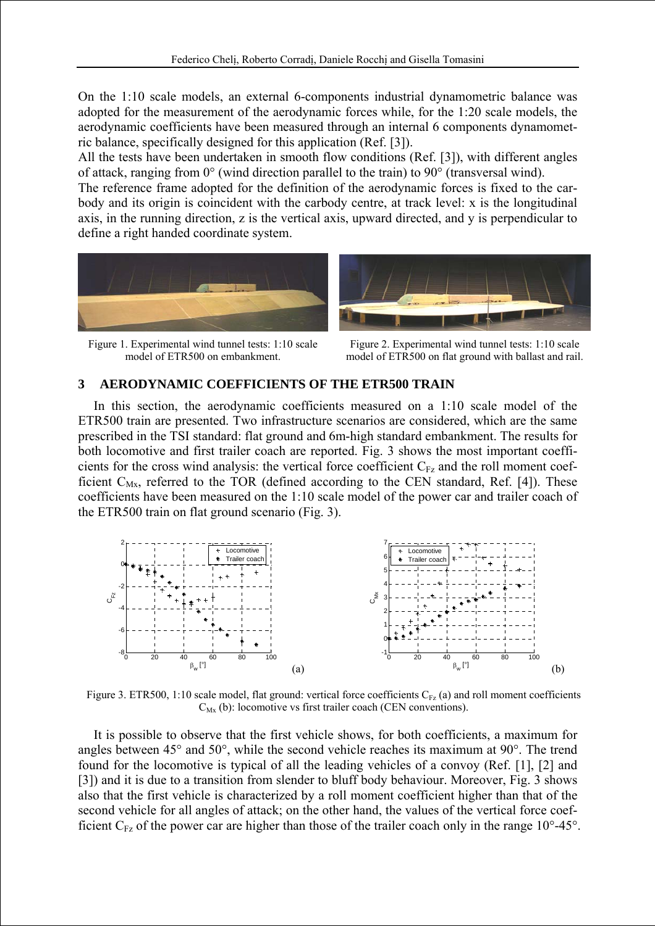On the 1:10 scale models, an external 6-components industrial dynamometric balance was adopted for the measurement of the aerodynamic forces while, for the 1:20 scale models, the aerodynamic coefficients have been measured through an internal 6 components dynamometric balance, specifically designed for this application (Ref. [3]).

All the tests have been undertaken in smooth flow conditions (Ref. [3]), with different angles of attack, ranging from 0° (wind direction parallel to the train) to 90° (transversal wind).

The reference frame adopted for the definition of the aerodynamic forces is fixed to the carbody and its origin is coincident with the carbody centre, at track level: x is the longitudinal axis, in the running direction, z is the vertical axis, upward directed, and y is perpendicular to define a right handed coordinate system.



Figure 1. Experimental wind tunnel tests: 1:10 scale model of ETR500 on embankment.



Figure 2. Experimental wind tunnel tests: 1:10 scale model of ETR500 on flat ground with ballast and rail.

## **3 AERODYNAMIC COEFFICIENTS OF THE ETR500 TRAIN**

In this section, the aerodynamic coefficients measured on a 1:10 scale model of the ETR500 train are presented. Two infrastructure scenarios are considered, which are the same prescribed in the TSI standard: flat ground and 6m-high standard embankment. The results for both locomotive and first trailer coach are reported. Fig. 3 shows the most important coefficients for the cross wind analysis: the vertical force coefficient  $C_{Fz}$  and the roll moment coefficient  $C_{Mx}$ , referred to the TOR (defined according to the CEN standard, Ref. [4]). These coefficients have been measured on the 1:10 scale model of the power car and trailer coach of the ETR500 train on flat ground scenario (Fig. 3).



Figure 3. ETR500, 1:10 scale model, flat ground: vertical force coefficients  $C_{Fz}$  (a) and roll moment coefficients  $C_{Mx}$  (b): locomotive vs first trailer coach (CEN conventions).

It is possible to observe that the first vehicle shows, for both coefficients, a maximum for angles between 45° and 50°, while the second vehicle reaches its maximum at 90°. The trend found for the locomotive is typical of all the leading vehicles of a convoy (Ref. [1], [2] and [3]) and it is due to a transition from slender to bluff body behaviour. Moreover, Fig. 3 shows also that the first vehicle is characterized by a roll moment coefficient higher than that of the second vehicle for all angles of attack; on the other hand, the values of the vertical force coefficient  $C_{Fz}$  of the power car are higher than those of the trailer coach only in the range 10°-45°.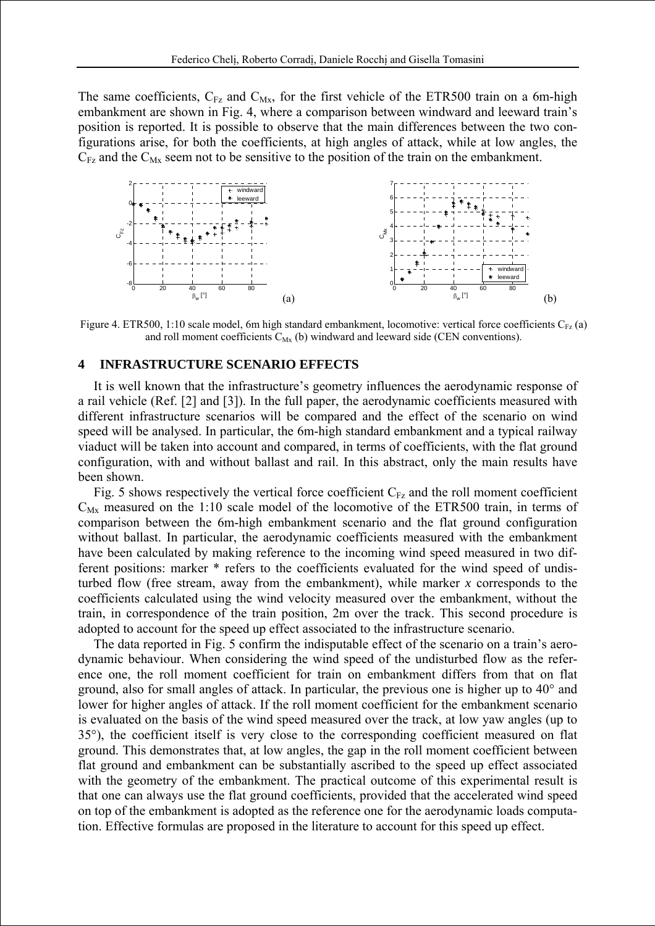The same coefficients,  $C_{Fz}$  and  $C_{Mx}$ , for the first vehicle of the ETR500 train on a 6m-high embankment are shown in Fig. 4, where a comparison between windward and leeward train's position is reported. It is possible to observe that the main differences between the two configurations arise, for both the coefficients, at high angles of attack, while at low angles, the  $C_{Fz}$  and the  $C_{Mx}$  seem not to be sensitive to the position of the train on the embankment.



Figure 4. ETR500, 1:10 scale model, 6m high standard embankment, locomotive: vertical force coefficients  $C_{Fz}$  (a) and roll moment coefficients  $C_{Mx}$  (b) windward and leeward side (CEN conventions).

## **4 INFRASTRUCTURE SCENARIO EFFECTS**

It is well known that the infrastructure's geometry influences the aerodynamic response of a rail vehicle (Ref. [2] and [3]). In the full paper, the aerodynamic coefficients measured with different infrastructure scenarios will be compared and the effect of the scenario on wind speed will be analysed. In particular, the 6m-high standard embankment and a typical railway viaduct will be taken into account and compared, in terms of coefficients, with the flat ground configuration, with and without ballast and rail. In this abstract, only the main results have been shown.

Fig. 5 shows respectively the vertical force coefficient  $C_{Fz}$  and the roll moment coefficient  $C_{\text{Mx}}$  measured on the 1:10 scale model of the locomotive of the ETR500 train, in terms of comparison between the 6m-high embankment scenario and the flat ground configuration without ballast. In particular, the aerodynamic coefficients measured with the embankment have been calculated by making reference to the incoming wind speed measured in two different positions: marker \* refers to the coefficients evaluated for the wind speed of undisturbed flow (free stream, away from the embankment), while marker *x* corresponds to the coefficients calculated using the wind velocity measured over the embankment, without the train, in correspondence of the train position, 2m over the track. This second procedure is adopted to account for the speed up effect associated to the infrastructure scenario.

The data reported in Fig. 5 confirm the indisputable effect of the scenario on a train's aerodynamic behaviour. When considering the wind speed of the undisturbed flow as the reference one, the roll moment coefficient for train on embankment differs from that on flat ground, also for small angles of attack. In particular, the previous one is higher up to 40° and lower for higher angles of attack. If the roll moment coefficient for the embankment scenario is evaluated on the basis of the wind speed measured over the track, at low yaw angles (up to 35°), the coefficient itself is very close to the corresponding coefficient measured on flat ground. This demonstrates that, at low angles, the gap in the roll moment coefficient between flat ground and embankment can be substantially ascribed to the speed up effect associated with the geometry of the embankment. The practical outcome of this experimental result is that one can always use the flat ground coefficients, provided that the accelerated wind speed on top of the embankment is adopted as the reference one for the aerodynamic loads computation. Effective formulas are proposed in the literature to account for this speed up effect.